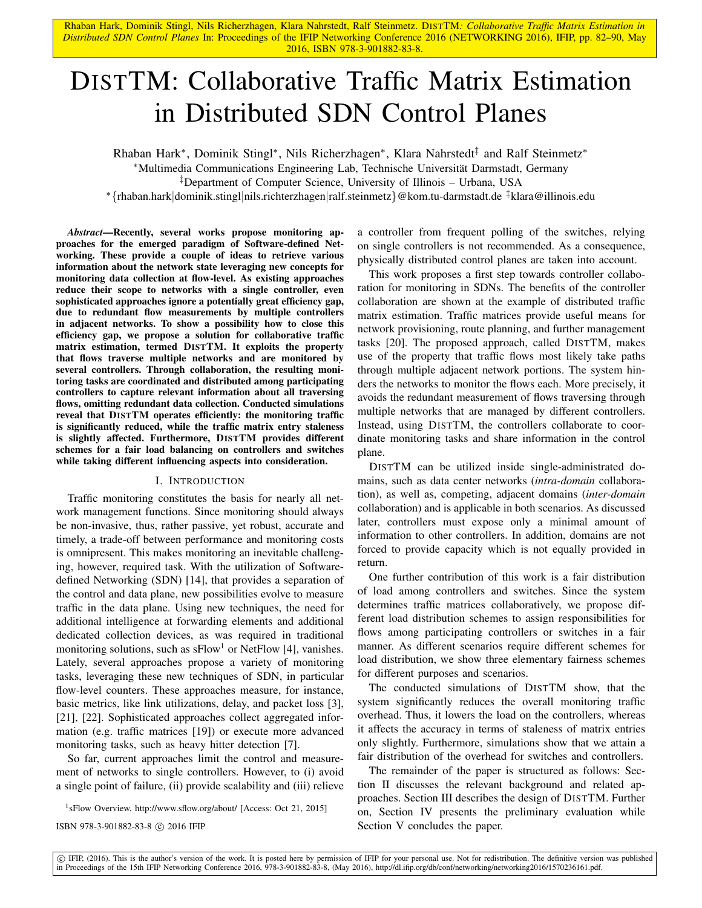# DISTTM: Collaborative Traffic Matrix Estimation in Distributed SDN Control Planes

Rhaban Hark<sup>∗</sup>, Dominik Stingl<sup>∗</sup>, Nils Richerzhagen<sup>∗</sup>, Klara Nahrstedt<sup>‡</sup> and Ralf Steinmetz<sup>\*</sup>

<sup>∗</sup>Multimedia Communications Engineering Lab, Technische Universitat Darmstadt, Germany ¨

‡Department of Computer Science, University of Illinois – Urbana, USA

<sup>∗</sup>{rhaban.hark|dominik.stingl|nils.richterzhagen|ralf.steinmetz}@kom.tu-darmstadt.de ‡klara@illinois.edu

*Abstract*—Recently, several works propose monitoring approaches for the emerged paradigm of Software-defined Networking. These provide a couple of ideas to retrieve various information about the network state leveraging new concepts for monitoring data collection at flow-level. As existing approaches reduce their scope to networks with a single controller, even sophisticated approaches ignore a potentially great efficiency gap, due to redundant flow measurements by multiple controllers in adjacent networks. To show a possibility how to close this efficiency gap, we propose a solution for collaborative traffic matrix estimation, termed DISTTM. It exploits the property that flows traverse multiple networks and are monitored by several controllers. Through collaboration, the resulting monitoring tasks are coordinated and distributed among participating controllers to capture relevant information about all traversing flows, omitting redundant data collection. Conducted simulations reveal that DISTTM operates efficiently: the monitoring traffic is significantly reduced, while the traffic matrix entry staleness is slightly affected. Furthermore, DISTTM provides different schemes for a fair load balancing on controllers and switches while taking different influencing aspects into consideration.

### I. INTRODUCTION

Traffic monitoring constitutes the basis for nearly all network management functions. Since monitoring should always be non-invasive, thus, rather passive, yet robust, accurate and timely, a trade-off between performance and monitoring costs is omnipresent. This makes monitoring an inevitable challenging, however, required task. With the utilization of Softwaredefined Networking (SDN) [14], that provides a separation of the control and data plane, new possibilities evolve to measure traffic in the data plane. Using new techniques, the need for additional intelligence at forwarding elements and additional dedicated collection devices, as was required in traditional monitoring solutions, such as  $sFlow<sup>1</sup>$  or NetFlow [4], vanishes. Lately, several approaches propose a variety of monitoring tasks, leveraging these new techniques of SDN, in particular flow-level counters. These approaches measure, for instance, basic metrics, like link utilizations, delay, and packet loss [3], [21], [22]. Sophisticated approaches collect aggregated information (e.g. traffic matrices [19]) or execute more advanced monitoring tasks, such as heavy hitter detection [7].

So far, current approaches limit the control and measurement of networks to single controllers. However, to (i) avoid a single point of failure, (ii) provide scalability and (iii) relieve

1 sFlow Overview, http://www.sflow.org/about/ [Access: Oct 21, 2015]

a controller from frequent polling of the switches, relying on single controllers is not recommended. As a consequence, physically distributed control planes are taken into account.

This work proposes a first step towards controller collaboration for monitoring in SDNs. The benefits of the controller collaboration are shown at the example of distributed traffic matrix estimation. Traffic matrices provide useful means for network provisioning, route planning, and further management tasks [20]. The proposed approach, called DISTTM, makes use of the property that traffic flows most likely take paths through multiple adjacent network portions. The system hinders the networks to monitor the flows each. More precisely, it avoids the redundant measurement of flows traversing through multiple networks that are managed by different controllers. Instead, using DISTTM, the controllers collaborate to coordinate monitoring tasks and share information in the control plane.

DISTTM can be utilized inside single-administrated domains, such as data center networks (*intra-domain* collaboration), as well as, competing, adjacent domains (*inter-domain* collaboration) and is applicable in both scenarios. As discussed later, controllers must expose only a minimal amount of information to other controllers. In addition, domains are not forced to provide capacity which is not equally provided in return.

One further contribution of this work is a fair distribution of load among controllers and switches. Since the system determines traffic matrices collaboratively, we propose different load distribution schemes to assign responsibilities for flows among participating controllers or switches in a fair manner. As different scenarios require different schemes for load distribution, we show three elementary fairness schemes for different purposes and scenarios.

The conducted simulations of DISTTM show, that the system significantly reduces the overall monitoring traffic overhead. Thus, it lowers the load on the controllers, whereas it affects the accuracy in terms of staleness of matrix entries only slightly. Furthermore, simulations show that we attain a fair distribution of the overhead for switches and controllers.

The remainder of the paper is structured as follows: Section II discusses the relevant background and related approaches. Section III describes the design of DISTTM. Further on, Section IV presents the preliminary evaluation while ISBN 978-3-901882-83-8  $\odot$  2016 IFIP Section V concludes the paper.

 c IFIP, (2016). This is the author's version of the work. It is posted here by permission of IFIP for your personal use. Not for redistribution. The definitive version was published in Proceedings of the 15th IFIP Networking Conference 2016, 978-3-901882-83-8, (May 2016), http://dl.ifip.org/db/conf/networking/networking2016/1570236161.pdf.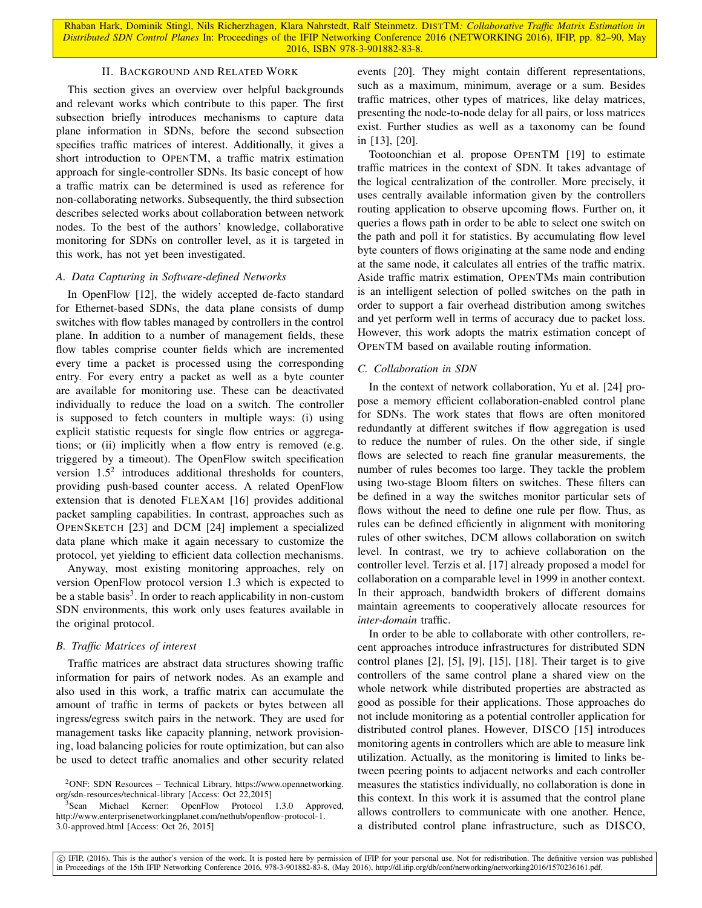## II. BACKGROUND AND RELATED WORK

This section gives an overview over helpful backgrounds and relevant works which contribute to this paper. The first subsection briefly introduces mechanisms to capture data plane information in SDNs, before the second subsection specifies traffic matrices of interest. Additionally, it gives a short introduction to OPENTM, a traffic matrix estimation approach for single-controller SDNs. Its basic concept of how a traffic matrix can be determined is used as reference for non-collaborating networks. Subsequently, the third subsection describes selected works about collaboration between network nodes. To the best of the authors' knowledge, collaborative monitoring for SDNs on controller level, as it is targeted in this work, has not yet been investigated.

## *A. Data Capturing in Software-defined Networks*

In OpenFlow [12], the widely accepted de-facto standard for Ethernet-based SDNs, the data plane consists of dump switches with flow tables managed by controllers in the control plane. In addition to a number of management fields, these flow tables comprise counter fields which are incremented every time a packet is processed using the corresponding entry. For every entry a packet as well as a byte counter are available for monitoring use. These can be deactivated individually to reduce the load on a switch. The controller is supposed to fetch counters in multiple ways: (i) using explicit statistic requests for single flow entries or aggregations; or (ii) implicitly when a flow entry is removed (e.g. triggered by a timeout). The OpenFlow switch specification version  $1.5<sup>2</sup>$  introduces additional thresholds for counters, providing push-based counter access. A related OpenFlow extension that is denoted FLEXAM [16] provides additional packet sampling capabilities. In contrast, approaches such as OPENSKETCH [23] and DCM [24] implement a specialized data plane which make it again necessary to customize the protocol, yet yielding to efficient data collection mechanisms.

Anyway, most existing monitoring approaches, rely on version OpenFlow protocol version 1.3 which is expected to be a stable basis<sup>3</sup>. In order to reach applicability in non-custom SDN environments, this work only uses features available in the original protocol.

## *B. Traffic Matrices of interest*

Traffic matrices are abstract data structures showing traffic information for pairs of network nodes. As an example and also used in this work, a traffic matrix can accumulate the amount of traffic in terms of packets or bytes between all ingress/egress switch pairs in the network. They are used for management tasks like capacity planning, network provisioning, load balancing policies for route optimization, but can also be used to detect traffic anomalies and other security related events [20]. They might contain different representations, such as a maximum, minimum, average or a sum. Besides traffic matrices, other types of matrices, like delay matrices, presenting the node-to-node delay for all pairs, or loss matrices exist. Further studies as well as a taxonomy can be found in [13], [20].

Tootoonchian et al. propose OPENTM [19] to estimate traffic matrices in the context of SDN. It takes advantage of the logical centralization of the controller. More precisely, it uses centrally available information given by the controllers routing application to observe upcoming flows. Further on, it queries a flows path in order to be able to select one switch on the path and poll it for statistics. By accumulating flow level byte counters of flows originating at the same node and ending at the same node, it calculates all entries of the traffic matrix. Aside traffic matrix estimation, OPENTMs main contribution is an intelligent selection of polled switches on the path in order to support a fair overhead distribution among switches and yet perform well in terms of accuracy due to packet loss. However, this work adopts the matrix estimation concept of OPENTM based on available routing information.

## *C. Collaboration in SDN*

In the context of network collaboration, Yu et al. [24] propose a memory efficient collaboration-enabled control plane for SDNs. The work states that flows are often monitored redundantly at different switches if flow aggregation is used to reduce the number of rules. On the other side, if single flows are selected to reach fine granular measurements, the number of rules becomes too large. They tackle the problem using two-stage Bloom filters on switches. These filters can be defined in a way the switches monitor particular sets of flows without the need to define one rule per flow. Thus, as rules can be defined efficiently in alignment with monitoring rules of other switches, DCM allows collaboration on switch level. In contrast, we try to achieve collaboration on the controller level. Terzis et al. [17] already proposed a model for collaboration on a comparable level in 1999 in another context. In their approach, bandwidth brokers of different domains maintain agreements to cooperatively allocate resources for *inter-domain* traffic.

In order to be able to collaborate with other controllers, recent approaches introduce infrastructures for distributed SDN control planes [2], [5], [9], [15], [18]. Their target is to give controllers of the same control plane a shared view on the whole network while distributed properties are abstracted as good as possible for their applications. Those approaches do not include monitoring as a potential controller application for distributed control planes. However, DISCO [15] introduces monitoring agents in controllers which are able to measure link utilization. Actually, as the monitoring is limited to links between peering points to adjacent networks and each controller measures the statistics individually, no collaboration is done in this context. In this work it is assumed that the control plane allows controllers to communicate with one another. Hence, a distributed control plane infrastructure, such as DISCO,

 c IFIP, (2016). This is the author's version of the work. It is posted here by permission of IFIP for your personal use. Not for redistribution. The definitive version was published in Proceedings of the 15th IFIP Networking Conference 2016, 978-3-901882-83-8, (May 2016), http://dl.ifip.org/db/conf/networking/networking2016/1570236161.pdf.

<sup>2</sup>ONF: SDN Resources – Technical Library, https://www.opennetworking. org/sdn-resources/technical-library [Access: Oct 22,2015]

<sup>&</sup>lt;sup>3</sup>Sean Michael Kerner: OpenFlow Protocol 1.3.0 Approved, http://www.enterprisenetworkingplanet.com/nethub/openflow-protocol-1. 3.0-approved.html [Access: Oct 26, 2015]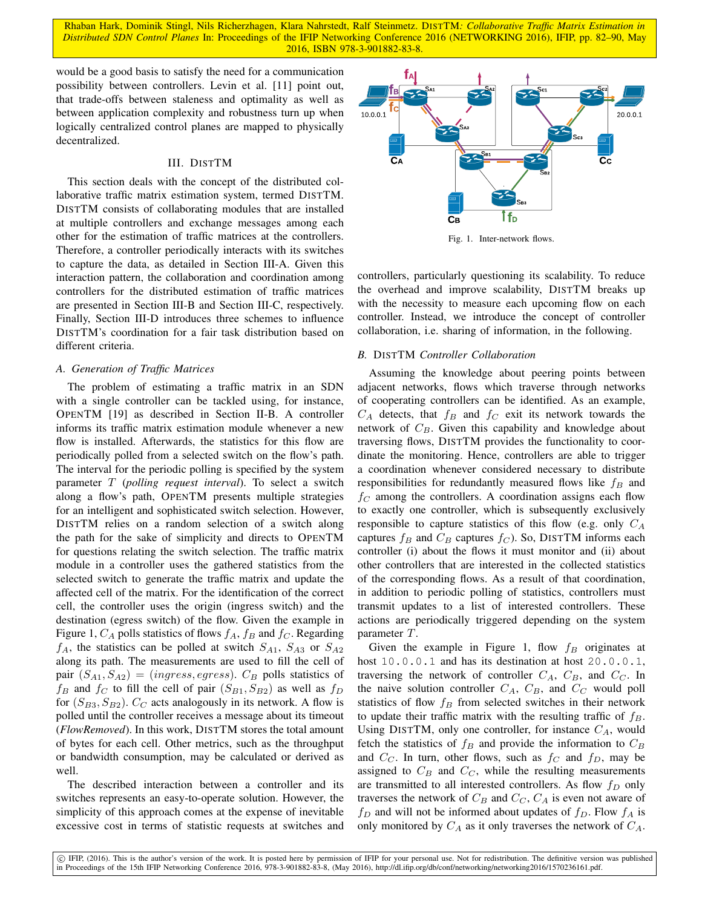would be a good basis to satisfy the need for a communication possibility between controllers. Levin et al. [11] point out, that trade-offs between staleness and optimality as well as between application complexity and robustness turn up when logically centralized control planes are mapped to physically decentralized.

## III. DISTTM

This section deals with the concept of the distributed collaborative traffic matrix estimation system, termed DISTTM. DISTTM consists of collaborating modules that are installed at multiple controllers and exchange messages among each other for the estimation of traffic matrices at the controllers. Therefore, a controller periodically interacts with its switches to capture the data, as detailed in Section III-A. Given this interaction pattern, the collaboration and coordination among controllers for the distributed estimation of traffic matrices are presented in Section III-B and Section III-C, respectively. Finally, Section III-D introduces three schemes to influence DISTTM's coordination for a fair task distribution based on different criteria.

## *A. Generation of Traffic Matrices*

The problem of estimating a traffic matrix in an SDN with a single controller can be tackled using, for instance, OPENTM [19] as described in Section II-B. A controller informs its traffic matrix estimation module whenever a new flow is installed. Afterwards, the statistics for this flow are periodically polled from a selected switch on the flow's path. The interval for the periodic polling is specified by the system parameter T (*polling request interval*). To select a switch along a flow's path, OPENTM presents multiple strategies for an intelligent and sophisticated switch selection. However, DISTTM relies on a random selection of a switch along the path for the sake of simplicity and directs to OPENTM for questions relating the switch selection. The traffic matrix module in a controller uses the gathered statistics from the selected switch to generate the traffic matrix and update the affected cell of the matrix. For the identification of the correct cell, the controller uses the origin (ingress switch) and the destination (egress switch) of the flow. Given the example in Figure 1,  $C_A$  polls statistics of flows  $f_A$ ,  $f_B$  and  $f_C$ . Regarding  $f_A$ , the statistics can be polled at switch  $S_{A1}$ ,  $S_{A3}$  or  $S_{A2}$ along its path. The measurements are used to fill the cell of pair  $(S_{A1}, S_{A2}) = (ingress, egress)$ .  $C_B$  polls statistics of  $f_B$  and  $f_C$  to fill the cell of pair  $(S_{B1}, S_{B2})$  as well as  $f_D$ for  $(S_{B3}, S_{B2})$ .  $C_C$  acts analogously in its network. A flow is polled until the controller receives a message about its timeout (*FlowRemoved*). In this work, DISTTM stores the total amount of bytes for each cell. Other metrics, such as the throughput or bandwidth consumption, may be calculated or derived as well.

The described interaction between a controller and its switches represents an easy-to-operate solution. However, the simplicity of this approach comes at the expense of inevitable excessive cost in terms of statistic requests at switches and



Fig. 1. Inter-network flows.

controllers, particularly questioning its scalability. To reduce the overhead and improve scalability, DISTTM breaks up with the necessity to measure each upcoming flow on each controller. Instead, we introduce the concept of controller collaboration, i.e. sharing of information, in the following.

# *B.* DISTTM *Controller Collaboration*

Assuming the knowledge about peering points between adjacent networks, flows which traverse through networks of cooperating controllers can be identified. As an example,  $C_A$  detects, that  $f_B$  and  $f_C$  exit its network towards the network of  $C_B$ . Given this capability and knowledge about traversing flows, DISTTM provides the functionality to coordinate the monitoring. Hence, controllers are able to trigger a coordination whenever considered necessary to distribute responsibilities for redundantly measured flows like  $f_B$  and  $f_C$  among the controllers. A coordination assigns each flow to exactly one controller, which is subsequently exclusively responsible to capture statistics of this flow (e.g. only  $C_A$ captures  $f_B$  and  $C_B$  captures  $f_C$ ). So, DISTTM informs each controller (i) about the flows it must monitor and (ii) about other controllers that are interested in the collected statistics of the corresponding flows. As a result of that coordination, in addition to periodic polling of statistics, controllers must transmit updates to a list of interested controllers. These actions are periodically triggered depending on the system parameter T.

Given the example in Figure 1, flow  $f_B$  originates at host 10.0.0.1 and has its destination at host 20.0.0.1, traversing the network of controller  $C_A$ ,  $C_B$ , and  $C_C$ . In the naive solution controller  $C_A$ ,  $C_B$ , and  $C_C$  would poll statistics of flow  $f_B$  from selected switches in their network to update their traffic matrix with the resulting traffic of  $f_B$ . Using DISTTM, only one controller, for instance  $C_A$ , would fetch the statistics of  $f_B$  and provide the information to  $C_B$ and  $C_C$ . In turn, other flows, such as  $f_C$  and  $f_D$ , may be assigned to  $C_B$  and  $C_C$ , while the resulting measurements are transmitted to all interested controllers. As flow  $f_D$  only traverses the network of  $C_B$  and  $C_C$ ,  $C_A$  is even not aware of  $f_D$  and will not be informed about updates of  $f_D$ . Flow  $f_A$  is only monitored by  $C_A$  as it only traverses the network of  $C_A$ .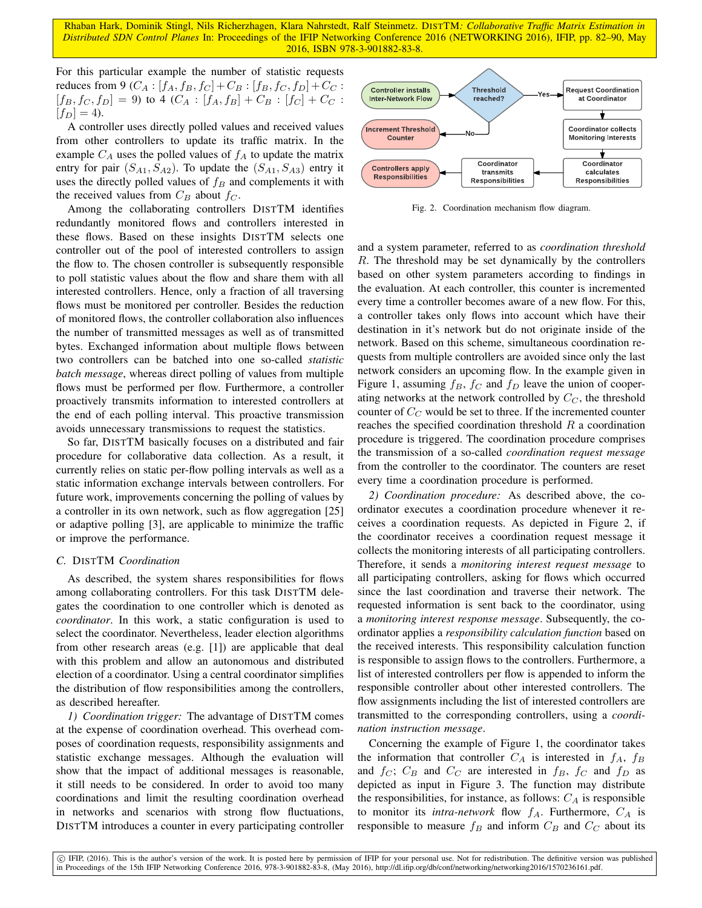For this particular example the number of statistic requests reduces from 9 ( $C_A : [f_A, f_B, f_C] + C_B : [f_B, f_C, f_D] + C_C$ :  $[f_B, f_C, f_D] = 9$ ) to 4  $(C_A : [f_A, f_B] + C_B : [f_C] + C_C$ :  $[f_D] = 4$ .

A controller uses directly polled values and received values from other controllers to update its traffic matrix. In the example  $C_A$  uses the polled values of  $f_A$  to update the matrix entry for pair  $(S_{A1}, S_{A2})$ . To update the  $(S_{A1}, S_{A3})$  entry it uses the directly polled values of  $f_B$  and complements it with the received values from  $C_B$  about  $f_C$ .

Among the collaborating controllers DISTTM identifies redundantly monitored flows and controllers interested in these flows. Based on these insights DISTTM selects one controller out of the pool of interested controllers to assign the flow to. The chosen controller is subsequently responsible to poll statistic values about the flow and share them with all interested controllers. Hence, only a fraction of all traversing flows must be monitored per controller. Besides the reduction of monitored flows, the controller collaboration also influences the number of transmitted messages as well as of transmitted bytes. Exchanged information about multiple flows between two controllers can be batched into one so-called *statistic batch message*, whereas direct polling of values from multiple flows must be performed per flow. Furthermore, a controller proactively transmits information to interested controllers at the end of each polling interval. This proactive transmission avoids unnecessary transmissions to request the statistics.

So far, DISTTM basically focuses on a distributed and fair procedure for collaborative data collection. As a result, it currently relies on static per-flow polling intervals as well as a static information exchange intervals between controllers. For future work, improvements concerning the polling of values by a controller in its own network, such as flow aggregation [25] or adaptive polling [3], are applicable to minimize the traffic or improve the performance.

## *C.* DISTTM *Coordination*

As described, the system shares responsibilities for flows among collaborating controllers. For this task DISTTM delegates the coordination to one controller which is denoted as *coordinator*. In this work, a static configuration is used to select the coordinator. Nevertheless, leader election algorithms from other research areas (e.g. [1]) are applicable that deal with this problem and allow an autonomous and distributed election of a coordinator. Using a central coordinator simplifies the distribution of flow responsibilities among the controllers, as described hereafter.

*1) Coordination trigger:* The advantage of DISTTM comes at the expense of coordination overhead. This overhead composes of coordination requests, responsibility assignments and statistic exchange messages. Although the evaluation will show that the impact of additional messages is reasonable, it still needs to be considered. In order to avoid too many coordinations and limit the resulting coordination overhead in networks and scenarios with strong flow fluctuations, DISTTM introduces a counter in every participating controller



Fig. 2. Coordination mechanism flow diagram.

and a system parameter, referred to as *coordination threshold* R. The threshold may be set dynamically by the controllers based on other system parameters according to findings in the evaluation. At each controller, this counter is incremented every time a controller becomes aware of a new flow. For this, a controller takes only flows into account which have their destination in it's network but do not originate inside of the network. Based on this scheme, simultaneous coordination requests from multiple controllers are avoided since only the last network considers an upcoming flow. In the example given in Figure 1, assuming  $f_B$ ,  $f_C$  and  $f_D$  leave the union of cooperating networks at the network controlled by  $C_C$ , the threshold counter of  $C_C$  would be set to three. If the incremented counter reaches the specified coordination threshold  $R$  a coordination procedure is triggered. The coordination procedure comprises the transmission of a so-called *coordination request message* from the controller to the coordinator. The counters are reset every time a coordination procedure is performed.

*2) Coordination procedure:* As described above, the coordinator executes a coordination procedure whenever it receives a coordination requests. As depicted in Figure 2, if the coordinator receives a coordination request message it collects the monitoring interests of all participating controllers. Therefore, it sends a *monitoring interest request message* to all participating controllers, asking for flows which occurred since the last coordination and traverse their network. The requested information is sent back to the coordinator, using a *monitoring interest response message*. Subsequently, the coordinator applies a *responsibility calculation function* based on the received interests. This responsibility calculation function is responsible to assign flows to the controllers. Furthermore, a list of interested controllers per flow is appended to inform the responsible controller about other interested controllers. The flow assignments including the list of interested controllers are transmitted to the corresponding controllers, using a *coordination instruction message*.

Concerning the example of Figure 1, the coordinator takes the information that controller  $C_A$  is interested in  $f_A$ ,  $f_B$ and  $f_C$ ;  $C_B$  and  $C_C$  are interested in  $f_B$ ,  $f_C$  and  $f_D$  as depicted as input in Figure 3. The function may distribute the responsibilities, for instance, as follows:  $C_A$  is responsible to monitor its *intra-network* flow  $f_A$ . Furthermore,  $C_A$  is responsible to measure  $f_B$  and inform  $C_B$  and  $C_C$  about its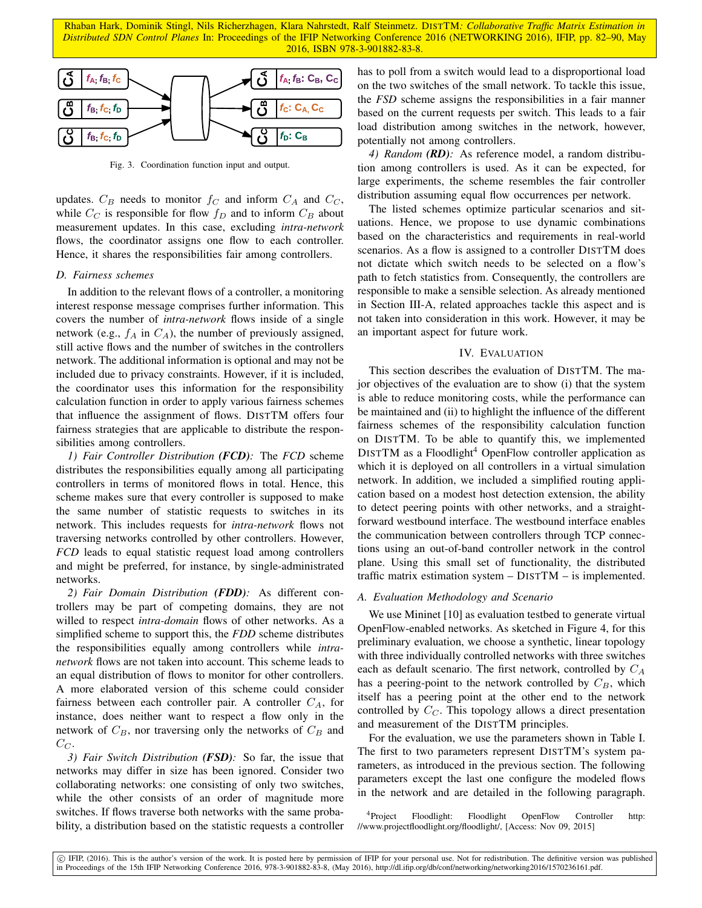

Fig. 3. Coordination function input and output.

updates.  $C_B$  needs to monitor  $f_C$  and inform  $C_A$  and  $C_C$ , while  $C_C$  is responsible for flow  $f_D$  and to inform  $C_B$  about measurement updates. In this case, excluding *intra-network* flows, the coordinator assigns one flow to each controller. Hence, it shares the responsibilities fair among controllers.

## *D. Fairness schemes*

In addition to the relevant flows of a controller, a monitoring interest response message comprises further information. This covers the number of *intra-network* flows inside of a single network (e.g.,  $f_A$  in  $C_A$ ), the number of previously assigned, still active flows and the number of switches in the controllers network. The additional information is optional and may not be included due to privacy constraints. However, if it is included, the coordinator uses this information for the responsibility calculation function in order to apply various fairness schemes that influence the assignment of flows. DISTTM offers four fairness strategies that are applicable to distribute the responsibilities among controllers.

*1) Fair Controller Distribution (FCD):* The *FCD* scheme distributes the responsibilities equally among all participating controllers in terms of monitored flows in total. Hence, this scheme makes sure that every controller is supposed to make the same number of statistic requests to switches in its network. This includes requests for *intra-network* flows not traversing networks controlled by other controllers. However, *FCD* leads to equal statistic request load among controllers and might be preferred, for instance, by single-administrated networks.

*2) Fair Domain Distribution (FDD):* As different controllers may be part of competing domains, they are not willed to respect *intra-domain* flows of other networks. As a simplified scheme to support this, the *FDD* scheme distributes the responsibilities equally among controllers while *intranetwork* flows are not taken into account. This scheme leads to an equal distribution of flows to monitor for other controllers. A more elaborated version of this scheme could consider fairness between each controller pair. A controller  $C_A$ , for instance, does neither want to respect a flow only in the network of  $C_B$ , nor traversing only the networks of  $C_B$  and  $C_C$ .

*3) Fair Switch Distribution (FSD):* So far, the issue that networks may differ in size has been ignored. Consider two collaborating networks: one consisting of only two switches, while the other consists of an order of magnitude more switches. If flows traverse both networks with the same probability, a distribution based on the statistic requests a controller has to poll from a switch would lead to a disproportional load on the two switches of the small network. To tackle this issue, the *FSD* scheme assigns the responsibilities in a fair manner based on the current requests per switch. This leads to a fair load distribution among switches in the network, however, potentially not among controllers.

*4) Random (RD):* As reference model, a random distribution among controllers is used. As it can be expected, for large experiments, the scheme resembles the fair controller distribution assuming equal flow occurrences per network.

The listed schemes optimize particular scenarios and situations. Hence, we propose to use dynamic combinations based on the characteristics and requirements in real-world scenarios. As a flow is assigned to a controller DISTTM does not dictate which switch needs to be selected on a flow's path to fetch statistics from. Consequently, the controllers are responsible to make a sensible selection. As already mentioned in Section III-A, related approaches tackle this aspect and is not taken into consideration in this work. However, it may be an important aspect for future work.

# IV. EVALUATION

This section describes the evaluation of DISTTM. The major objectives of the evaluation are to show (i) that the system is able to reduce monitoring costs, while the performance can be maintained and (ii) to highlight the influence of the different fairness schemes of the responsibility calculation function on DISTTM. To be able to quantify this, we implemented DISTTM as a Floodlight<sup>4</sup> OpenFlow controller application as which it is deployed on all controllers in a virtual simulation network. In addition, we included a simplified routing application based on a modest host detection extension, the ability to detect peering points with other networks, and a straightforward westbound interface. The westbound interface enables the communication between controllers through TCP connections using an out-of-band controller network in the control plane. Using this small set of functionality, the distributed traffic matrix estimation system – DISTTM – is implemented.

#### *A. Evaluation Methodology and Scenario*

We use Mininet [10] as evaluation testbed to generate virtual OpenFlow-enabled networks. As sketched in Figure 4, for this preliminary evaluation, we choose a synthetic, linear topology with three individually controlled networks with three switches each as default scenario. The first network, controlled by  $C_A$ has a peering-point to the network controlled by  $C_B$ , which itself has a peering point at the other end to the network controlled by  $C_C$ . This topology allows a direct presentation and measurement of the DISTTM principles.

For the evaluation, we use the parameters shown in Table I. The first to two parameters represent DISTTM's system parameters, as introduced in the previous section. The following parameters except the last one configure the modeled flows in the network and are detailed in the following paragraph.

<sup>4</sup>Project Floodlight: Floodlight OpenFlow Controller http: //www.projectfloodlight.org/floodlight/, [Access: Nov 09, 2015]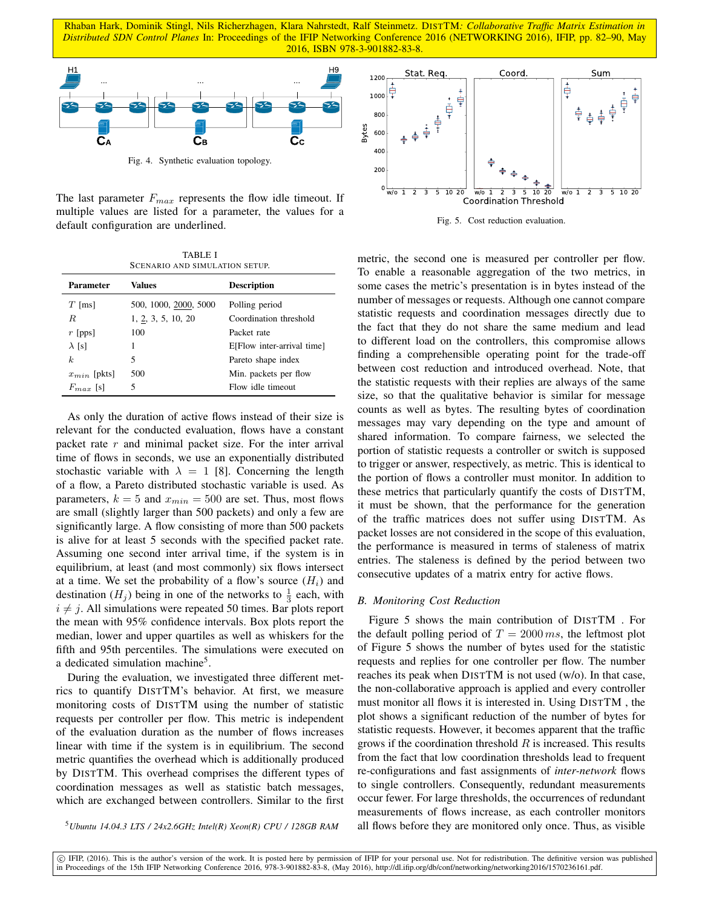

Fig. 4. Synthetic evaluation topology.

The last parameter  $F_{max}$  represents the flow idle timeout. If multiple values are listed for a parameter, the values for a default configuration are underlined.

TABLE I SCENARIO AND SIMULATION SETUP.

| <b>Parameter</b> | Values                | <b>Description</b>         |
|------------------|-----------------------|----------------------------|
| $T$ [ms]         | 500, 1000, 2000, 5000 | Polling period             |
| R.               | 1, 2, 3, 5, 10, 20    | Coordination threshold     |
| $r$ [pps]        | 100                   | Packet rate                |
| $\lambda$ [s]    |                       | E[Flow inter-arrival time] |
| $\mathbf{k}$     | 5                     | Pareto shape index         |
| $x_{min}$ [pkts] | 500                   | Min. packets per flow      |
| $F_{max}$ [s]    | 5                     | Flow idle timeout          |

As only the duration of active flows instead of their size is relevant for the conducted evaluation, flows have a constant packet rate  $r$  and minimal packet size. For the inter arrival time of flows in seconds, we use an exponentially distributed stochastic variable with  $\lambda = 1$  [8]. Concerning the length of a flow, a Pareto distributed stochastic variable is used. As parameters,  $k = 5$  and  $x_{min} = 500$  are set. Thus, most flows are small (slightly larger than 500 packets) and only a few are significantly large. A flow consisting of more than 500 packets is alive for at least 5 seconds with the specified packet rate. Assuming one second inter arrival time, if the system is in equilibrium, at least (and most commonly) six flows intersect at a time. We set the probability of a flow's source  $(H_i)$  and destination  $(H_j)$  being in one of the networks to  $\frac{1}{3}$  each, with  $i \neq j$ . All simulations were repeated 50 times. Bar plots report the mean with 95% confidence intervals. Box plots report the median, lower and upper quartiles as well as whiskers for the fifth and 95th percentiles. The simulations were executed on a dedicated simulation machine<sup>5</sup>.

During the evaluation, we investigated three different metrics to quantify DISTTM's behavior. At first, we measure monitoring costs of DISTTM using the number of statistic requests per controller per flow. This metric is independent of the evaluation duration as the number of flows increases linear with time if the system is in equilibrium. The second metric quantifies the overhead which is additionally produced by DISTTM. This overhead comprises the different types of coordination messages as well as statistic batch messages, which are exchanged between controllers. Similar to the first

<sup>5</sup>*Ubuntu 14.04.3 LTS / 24x2.6GHz Intel(R) Xeon(R) CPU / 128GB RAM*



Fig. 5. Cost reduction evaluation.

**Example of the 15th IFIP Networking Conference 2016, 87 and 2016 in the 15th IFIP Networking Conference 2016, a method of the 15th IFIP Networking Conference 2016, https://dl.iffe.org/db/conference 2016, https://dl.iffe** metric, the second one is measured per controller per flow. To enable a reasonable aggregation of the two metrics, in some cases the metric's presentation is in bytes instead of the number of messages or requests. Although one cannot compare statistic requests and coordination messages directly due to the fact that they do not share the same medium and lead to different load on the controllers, this compromise allows finding a comprehensible operating point for the trade-off between cost reduction and introduced overhead. Note, that the statistic requests with their replies are always of the same size, so that the qualitative behavior is similar for message counts as well as bytes. The resulting bytes of coordination messages may vary depending on the type and amount of shared information. To compare fairness, we selected the portion of statistic requests a controller or switch is supposed to trigger or answer, respectively, as metric. This is identical to the portion of flows a controller must monitor. In addition to these metrics that particularly quantify the costs of DISTTM, it must be shown, that the performance for the generation of the traffic matrices does not suffer using DISTTM. As packet losses are not considered in the scope of this evaluation, the performance is measured in terms of staleness of matrix entries. The staleness is defined by the period between two consecutive updates of a matrix entry for active flows.

#### *B. Monitoring Cost Reduction*

Figure 5 shows the main contribution of DISTTM . For the default polling period of  $T = 2000 \text{ ms}$ , the leftmost plot of Figure 5 shows the number of bytes used for the statistic requests and replies for one controller per flow. The number reaches its peak when DISTTM is not used (w/o). In that case, the non-collaborative approach is applied and every controller must monitor all flows it is interested in. Using DISTTM , the plot shows a significant reduction of the number of bytes for statistic requests. However, it becomes apparent that the traffic grows if the coordination threshold  $R$  is increased. This results from the fact that low coordination thresholds lead to frequent re-configurations and fast assignments of *inter-network* flows to single controllers. Consequently, redundant measurements occur fewer. For large thresholds, the occurrences of redundant measurements of flows increase, as each controller monitors all flows before they are monitored only once. Thus, as visible

C IFIP, (2016). This is the author's version of the work. It is posted here by permission of IFIP for your personal use. Not for redistribution. The definitive version was published in Proceedings of the 15th IFIP Networki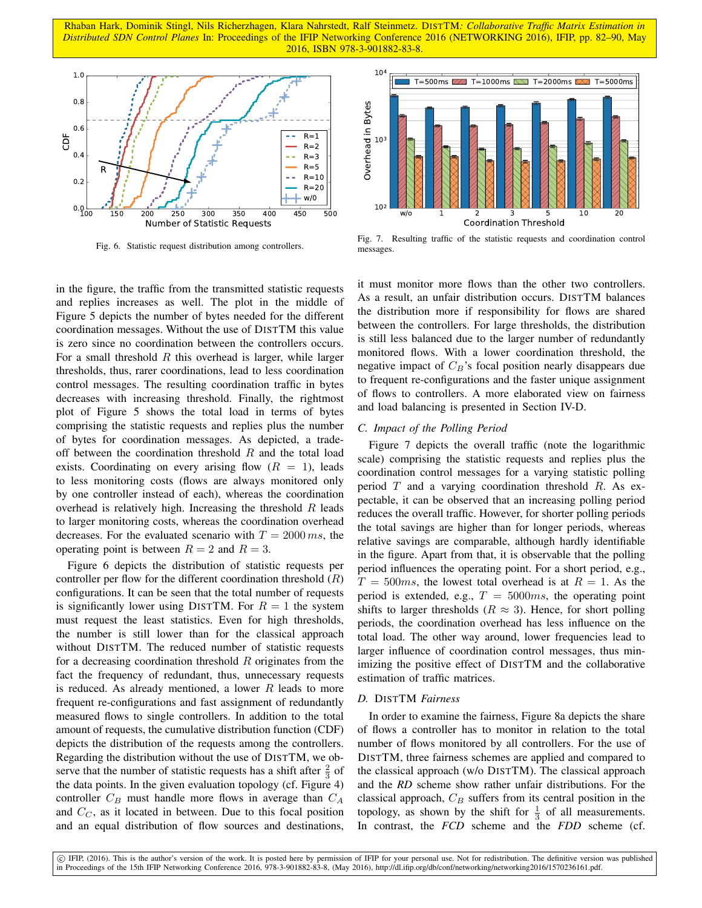Rhaban Hark, Dominik Stingl, Nils Richerzhagen, Klara Nahrstedt, Ralf Steinmetz. DISTTM*: Collaborative Traffic Matrix Estimation in Distributed SDN Control Planes* In: Proceedings of the IFIP Networking Conference 2016 (NETWORKING 2016), IFIP, pp. 82–90, May 2016, ISBN 978-3-901882-83-8.



Fig. 6. Statistic request distribution among controllers.



Fig. 7. Resulting traffic of the statistic requests and coordination control messages.

in the figure, the traffic from the transmitted statistic requests and replies increases as well. The plot in the middle of Figure 5 depicts the number of bytes needed for the different coordination messages. Without the use of DISTTM this value is zero since no coordination between the controllers occurs. For a small threshold  $R$  this overhead is larger, while larger thresholds, thus, rarer coordinations, lead to less coordination control messages. The resulting coordination traffic in bytes decreases with increasing threshold. Finally, the rightmost plot of Figure 5 shows the total load in terms of bytes comprising the statistic requests and replies plus the number of bytes for coordination messages. As depicted, a tradeoff between the coordination threshold  $R$  and the total load exists. Coordinating on every arising flow  $(R = 1)$ , leads to less monitoring costs (flows are always monitored only by one controller instead of each), whereas the coordination overhead is relatively high. Increasing the threshold  $R$  leads to larger monitoring costs, whereas the coordination overhead decreases. For the evaluated scenario with  $T = 2000 \text{ ms}$ , the operating point is between  $R = 2$  and  $R = 3$ .

Figure 6 depicts the distribution of statistic requests per controller per flow for the different coordination threshold  $(R)$ configurations. It can be seen that the total number of requests is significantly lower using DISTTM. For  $R = 1$  the system must request the least statistics. Even for high thresholds, the number is still lower than for the classical approach without DISTTM. The reduced number of statistic requests for a decreasing coordination threshold  $R$  originates from the fact the frequency of redundant, thus, unnecessary requests is reduced. As already mentioned, a lower  $R$  leads to more frequent re-configurations and fast assignment of redundantly measured flows to single controllers. In addition to the total amount of requests, the cumulative distribution function (CDF) depicts the distribution of the requests among the controllers. Regarding the distribution without the use of DISTTM, we observe that the number of statistic requests has a shift after  $\frac{2}{3}$  of the data points. In the given evaluation topology (cf. Figure 4) controller  $C_B$  must handle more flows in average than  $C_A$ and  $C_C$ , as it located in between. Due to this focal position and an equal distribution of flow sources and destinations, it must monitor more flows than the other two controllers. As a result, an unfair distribution occurs. DISTTM balances the distribution more if responsibility for flows are shared between the controllers. For large thresholds, the distribution is still less balanced due to the larger number of redundantly monitored flows. With a lower coordination threshold, the negative impact of  $C_B$ 's focal position nearly disappears due to frequent re-configurations and the faster unique assignment of flows to controllers. A more elaborated view on fairness and load balancing is presented in Section IV-D.

# *C. Impact of the Polling Period*

Figure 7 depicts the overall traffic (note the logarithmic scale) comprising the statistic requests and replies plus the coordination control messages for a varying statistic polling period  $T$  and a varying coordination threshold  $R$ . As expectable, it can be observed that an increasing polling period reduces the overall traffic. However, for shorter polling periods the total savings are higher than for longer periods, whereas relative savings are comparable, although hardly identifiable in the figure. Apart from that, it is observable that the polling period influences the operating point. For a short period, e.g.,  $T = 500$ ms, the lowest total overhead is at  $R = 1$ . As the period is extended, e.g.,  $T = 5000ms$ , the operating point shifts to larger thresholds ( $R \approx 3$ ). Hence, for short polling periods, the coordination overhead has less influence on the total load. The other way around, lower frequencies lead to larger influence of coordination control messages, thus minimizing the positive effect of DISTTM and the collaborative estimation of traffic matrices.

# *D.* DISTTM *Fairness*

In order to examine the fairness, Figure 8a depicts the share of flows a controller has to monitor in relation to the total number of flows monitored by all controllers. For the use of DISTTM, three fairness schemes are applied and compared to the classical approach (w/o DISTTM). The classical approach and the *RD* scheme show rather unfair distributions. For the classical approach,  $C_B$  suffers from its central position in the topology, as shown by the shift for  $\frac{1}{3}$  of all measurements. In contrast, the *FCD* scheme and the *FDD* scheme (cf.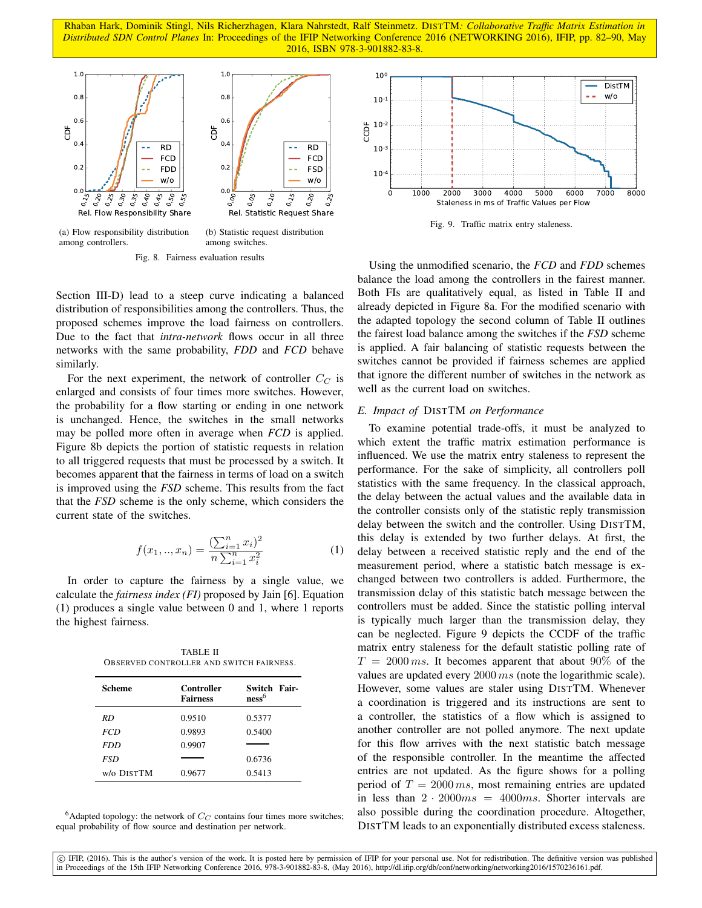

Fig. 8. Fairness evaluation results

Section III-D) lead to a steep curve indicating a balanced distribution of responsibilities among the controllers. Thus, the proposed schemes improve the load fairness on controllers. Due to the fact that *intra-network* flows occur in all three networks with the same probability, *FDD* and *FCD* behave similarly.

For the next experiment, the network of controller  $C_C$  is enlarged and consists of four times more switches. However, the probability for a flow starting or ending in one network is unchanged. Hence, the switches in the small networks may be polled more often in average when *FCD* is applied. Figure 8b depicts the portion of statistic requests in relation to all triggered requests that must be processed by a switch. It becomes apparent that the fairness in terms of load on a switch is improved using the *FSD* scheme. This results from the fact that the *FSD* scheme is the only scheme, which considers the current state of the switches.

$$
f(x_1,..,x_n) = \frac{\left(\sum_{i=1}^n x_i\right)^2}{n \sum_{i=1}^n x_i^2}
$$
 (1)

In order to capture the fairness by a single value, we calculate the *fairness index (FI)* proposed by Jain [6]. Equation (1) produces a single value between 0 and 1, where 1 reports the highest fairness.

TABLE II OBSERVED CONTROLLER AND SWITCH FAIRNESS.

| Scheme     | <b>Controller</b><br><b>Fairness</b> | Switch Fair-<br>ness <sup>6</sup> |
|------------|--------------------------------------|-----------------------------------|
| RD         | 0.9510                               | 0.5377                            |
| <i>FCD</i> | 0.9893                               | 0.5400                            |
| <i>FDD</i> | 0.9907                               |                                   |
| FSD        |                                      | 0.6736                            |
| w/o DISTTM | 0.9677                               | 0.5413                            |

<sup>6</sup>Adapted topology: the network of  $C_C$  contains four times more switches; equal probability of flow source and destination per network.



Fig. 9. Traffic matrix entry staleness.

Using the unmodified scenario, the *FCD* and *FDD* schemes balance the load among the controllers in the fairest manner. Both FIs are qualitatively equal, as listed in Table II and already depicted in Figure 8a. For the modified scenario with the adapted topology the second column of Table II outlines the fairest load balance among the switches if the *FSD* scheme is applied. A fair balancing of statistic requests between the switches cannot be provided if fairness schemes are applied that ignore the different number of switches in the network as well as the current load on switches.

## *E. Impact of* DISTTM *on Performance*

 $\frac{P}{2}$ 2 B A From so the the 15th IFIP Networking Conference 2016, 1978-201882-83. (May 2018), https://dl.inter-society.com/networking Conference 2018 and the 15th IFIP Networking Conference 2018 and the action of the To examine potential trade-offs, it must be analyzed to which extent the traffic matrix estimation performance is influenced. We use the matrix entry staleness to represent the performance. For the sake of simplicity, all controllers poll statistics with the same frequency. In the classical approach, the delay between the actual values and the available data in the controller consists only of the statistic reply transmission delay between the switch and the controller. Using DISTTM, this delay is extended by two further delays. At first, the delay between a received statistic reply and the end of the measurement period, where a statistic batch message is exchanged between two controllers is added. Furthermore, the transmission delay of this statistic batch message between the controllers must be added. Since the statistic polling interval is typically much larger than the transmission delay, they can be neglected. Figure 9 depicts the CCDF of the traffic matrix entry staleness for the default statistic polling rate of  $T = 2000 \text{ ms}$ . It becomes apparent that about  $90\%$  of the values are updated every  $2000 \, ms$  (note the logarithmic scale). However, some values are staler using DISTTM. Whenever a coordination is triggered and its instructions are sent to a controller, the statistics of a flow which is assigned to another controller are not polled anymore. The next update for this flow arrives with the next statistic batch message of the responsible controller. In the meantime the affected entries are not updated. As the figure shows for a polling period of  $T = 2000 \, ms$ , most remaining entries are updated in less than  $2 \cdot 2000ms = 4000ms$ . Shorter intervals are also possible during the coordination procedure. Altogether, DISTTM leads to an exponentially distributed excess staleness.

c IFIP, (2016). This is the author's version of the work. It is posted here by permission of IFIP for your personal use. Not for redistribution. The definitive version was published